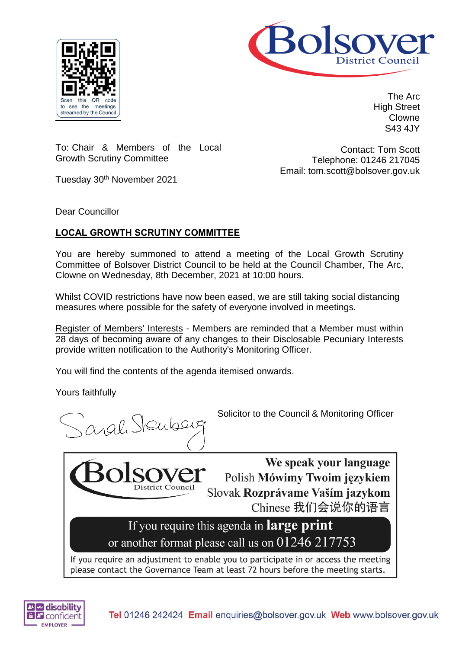



The Arc High Street Clowne S43 4JY

To: Chair & Members of the Local Growth Scrutiny Committee

Contact: Tom Scott Telephone: 01246 217045 Email: tom.scott@bolsover.gov.uk

Tuesday 30<sup>th</sup> November 2021

Dear Councillor

# **LOCAL GROWTH SCRUTINY COMMITTEE**

You are hereby summoned to attend a meeting of the Local Growth Scrutiny Committee of Bolsover District Council to be held at the Council Chamber, The Arc, Clowne on Wednesday, 8th December, 2021 at 10:00 hours.

Whilst COVID restrictions have now been eased, we are still taking social distancing measures where possible for the safety of everyone involved in meetings.

Register of Members' Interests - Members are reminded that a Member must within 28 days of becoming aware of any changes to their Disclosable Pecuniary Interests provide written notification to the Authority's Monitoring Officer.

You will find the contents of the agenda itemised onwards.

**District Council** 

Yours faithfully

aval Stenberg

Solicitor to the Council & Monitoring Officer

We speak your language Polish Mówimy Twoim językiem Slovak Rozprávame Vaším jazykom Chinese 我们会说你的语言

If you require this agenda in **large print** or another format please call us on 01246 217753

If you require an adjustment to enable you to participate in or access the meeting please contact the Governance Team at least 72 hours before the meeting starts.

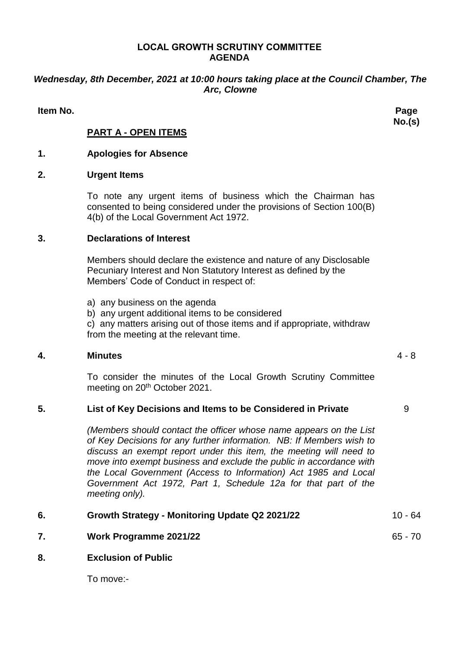#### **LOCAL GROWTH SCRUTINY COMMITTEE AGENDA**

# *Wednesday, 8th December, 2021 at 10:00 hours taking place at the Council Chamber, The Arc, Clowne*

**Item No. Page** 

**No.(s)**

# **PART A - OPEN ITEMS**

## **1. Apologies for Absence**

### **2. Urgent Items**

To note any urgent items of business which the Chairman has consented to being considered under the provisions of Section 100(B) 4(b) of the Local Government Act 1972.

#### **3. Declarations of Interest**

Members should declare the existence and nature of any Disclosable Pecuniary Interest and Non Statutory Interest as defined by the Members' Code of Conduct in respect of:

- a) any business on the agenda
- b) any urgent additional items to be considered

c) any matters arising out of those items and if appropriate, withdraw from the meeting at the relevant time.

### **4. Minutes** 4 - 8

To consider the minutes of the Local Growth Scrutiny Committee meeting on 20<sup>th</sup> October 2021.

### **5. List of Key Decisions and Items to be Considered in Private** 9

*(Members should contact the officer whose name appears on the List of Key Decisions for any further information. NB: If Members wish to discuss an exempt report under this item, the meeting will need to move into exempt business and exclude the public in accordance with the Local Government (Access to Information) Act 1985 and Local Government Act 1972, Part 1, Schedule 12a for that part of the meeting only).*

| 6. | Growth Strategy - Monitoring Update Q2 2021/22 | $10 - 64$ |
|----|------------------------------------------------|-----------|
|    | <b>Work Programme 2021/22</b>                  | $65 - 70$ |
| 8. | <b>Exclusion of Public</b>                     |           |

To move:-